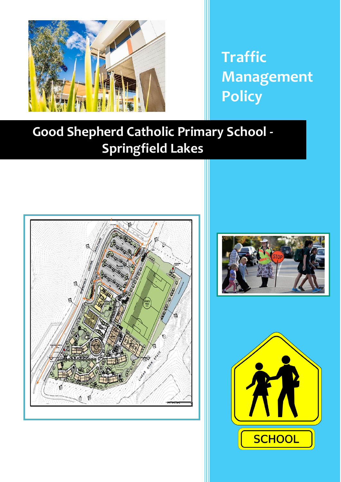

**Traffic Management Policy**

# **Good Shepherd Catholic Primary School - Springfield Lakes**





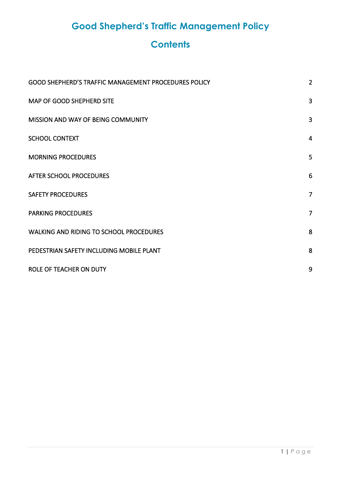# **Good Shepherd's Traffic Management Policy**

## **Contents**

| GOOD SHEPHERD'S TRAFFIC MANAGEMENT PROCEDURES POLICY | $\overline{2}$ |
|------------------------------------------------------|----------------|
| MAP OF GOOD SHEPHERD SITE                            | 3              |
| MISSION AND WAY OF BEING COMMUNITY                   | 3              |
| <b>SCHOOL CONTEXT</b>                                | $\overline{4}$ |
| <b>MORNING PROCEDURES</b>                            | 5              |
| AFTER SCHOOL PROCEDURES                              | 6              |
| <b>SAFETY PROCEDURES</b>                             | 7              |
| <b>PARKING PROCEDURES</b>                            | $\overline{7}$ |
| <b>WALKING AND RIDING TO SCHOOL PROCEDURES</b>       | 8              |
| PEDESTRIAN SAFETY INCLUDING MOBILE PLANT             | 8              |
| ROLE OF TEACHER ON DUTY                              | 9              |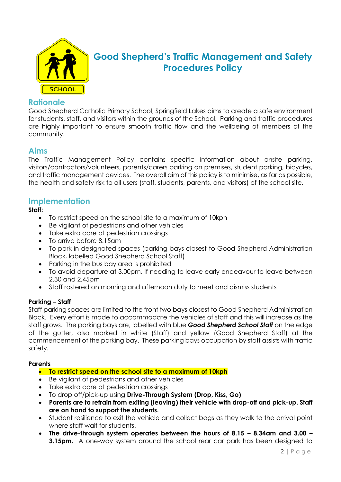

### <span id="page-2-0"></span>**Good Shepherd's Traffic Management and Safety Procedures Policy**

### **Rationale**

Good Shepherd Catholic Primary School, Springfield Lakes aims to create a safe environment for students, staff, and visitors within the grounds of the School. Parking and traffic procedures are highly important to ensure smooth traffic flow and the wellbeing of members of the community.

### **Aims**

The Traffic Management Policy contains specific information about onsite parking, visitors/contractors/volunteers, parents/carers parking on premises, student parking, bicycles, and traffic management devices. The overall aim of this policy is to minimise, as far as possible, the health and safety risk to all users (staff, students, parents, and visitors) of the school site.

### **Implementation**

**Staff:**

- To restrict speed on the school site to a maximum of 10kph
- Be vigilant of pedestrians and other vehicles
- Take extra care at pedestrian crossings
- To arrive before 8.15am
- To park in designated spaces (parking bays closest to Good Shepherd Administration Block, labelled Good Shepherd School Staff)
- Parking in the bus bay area is prohibited
- To avoid departure at 3.00pm. If needing to leave early endeavour to leave between 2.30 and 2.45pm
- Staff rostered on morning and afternoon duty to meet and dismiss students

#### **Parking – Staff**

Staff parking spaces are limited to the front two bays closest to Good Shepherd Administration Block. Every effort is made to accommodate the vehicles of staff and this will increase as the staff grows. The parking bays are, labelled with blue *Good Shepherd School Staff* on the edge of the gutter, also marked in white (Staff) and yellow (Good Shepherd Staff) at the commencement of the parking bay. These parking bays occupation by staff assists with traffic safety.

#### **Parents**

- **To restrict speed on the school site to a maximum of 10kph**
- Be vigilant of pedestrians and other vehicles
- Take extra care at pedestrian crossings
- To drop off/pick-up using **Drive-Through System (Drop, Kiss, Go)**
- **Parents are to refrain from exiting (leaving) their vehicle with drop-off and pick-up. Staff are on hand to support the students.**
- Student resilience to exit the vehicle and collect bags as they walk to the arrival point where staff wait for students.
- **The drive-through system operates between the hours of 8.15 – 8.34am and 3.00 – 3.15pm.** A one-way system around the school rear car park has been designed to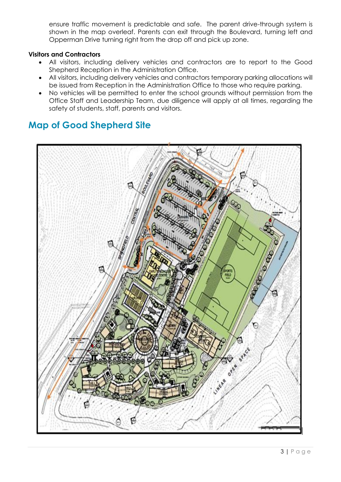ensure traffic movement is predictable and safe. The parent drive-through system is shown in the map overleaf. Parents can exit through the Boulevard, turning left and Opperman Drive turning right from the drop off and pick up zone.

#### **Visitors and Contractors**

- All visitors, including delivery vehicles and contractors are to report to the Good Shepherd Reception in the Administration Office.
- All visitors, including delivery vehicles and contractors temporary parking allocations will be issued from Reception in the Administration Office to those who require parking.
- <span id="page-3-0"></span>• No vehicles will be permitted to enter the school grounds without permission from the Office Staff and Leadership Team, due diligence will apply at all times, regarding the safety of students, staff, parents and visitors.

### **Map of Good Shepherd Site**

<span id="page-3-1"></span>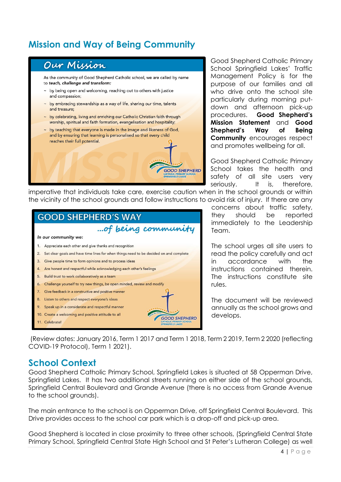### **Mission and Way of Being Community**



Good Shepherd Catholic Primary School Springfield Lakes' Traffic Management Policy is for the purpose of our families and all who drive onto the school site particularly during morning putdown and afternoon pick-up procedures. **Good Shepherd's Mission Statement** and **Good Shepherd's Way of Being Community** encourages respect and promotes wellbeing for all.

Good Shepherd Catholic Primary School takes the health and safety of all site users very seriously. It is, therefore,

imperative that individuals take care, exercise caution when in the school grounds or within the vicinity of the school grounds and follow instructions to avoid risk of injury. If there are any



concerns about traffic safety, they should be reported immediately to the Leadership Team.

The school urges all site users to read the policy carefully and act in accordance with the instructions contained therein. The instructions constitute site rules.

The document will be reviewed annually as the school grows and develops.

(Review dates: January 2016, Term 1 2017 and Term 1 2018, Term 2 2019, Term 2 2020 (reflecting COVID-19 Protocol), Term 1 2021).

### <span id="page-4-0"></span>**School Context**

Good Shepherd Catholic Primary School, Springfield Lakes is situated at 58 Opperman Drive, Springfield Lakes. It has two additional streets running on either side of the school grounds, Springfield Central Boulevard and Grande Avenue (there is no access from Grande Avenue to the school grounds).

The main entrance to the school is on Opperman Drive, off Springfield Central Boulevard. This Drive provides access to the school car park which is a drop-off and pick-up area.

Good Shepherd is located in close proximity to three other schools, (Springfield Central State Primary School, Springfield Central State High School and St Peter's Lutheran College) as well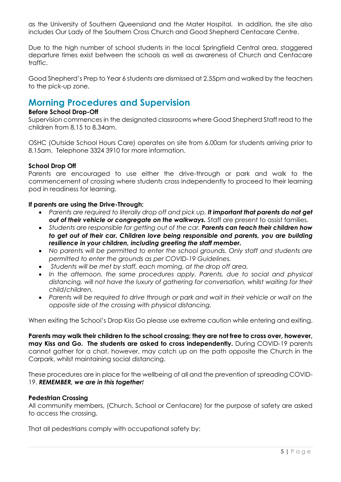as the University of Southern Queensland and the Mater Hospital. In addition, the site also includes Our Lady of the Southern Cross Church and Good Shepherd Centacare Centre.

Due to the high number of school students in the local Springfield Central area, staggered departure times exist between the schools as well as awareness of Church and Centacare traffic.

Good Shepherd's Prep to Year 6 students are dismissed at 2.55pm and walked by the teachers to the pick-up zone.

### <span id="page-5-0"></span>**Morning Procedures and Supervision**

### **Before School Drop-Off**

Supervision commences in the designated classrooms where Good Shepherd Staff read to the children from 8.15 to 8.34am.

OSHC (Outside School Hours Care) operates on site from 6.00am for students arriving prior to 8.15am. Telephone 3324 3910 for more information.

#### **School Drop Off**

Parents are encouraged to use either the drive-through or park and walk to the commencement of crossing where students cross independently to proceed to their learning pod in readiness for learning.

#### **If parents are using the Drive-Through:**

- *Parents are required to literally drop off and pick up. It important that parents do not get out of their vehicle or congregate on the walkways.* Staff are present to assist families.
- *Students are responsible for getting out of the car. Parents can teach their children how to get out of their car. Children love being responsible and parents, you are building resilience in your children, including greeting the staff member.*
- *No parents will be permitted to enter the school grounds. Only staff and students are permitted to enter the grounds as per COVID-19 Guidelines.*
- *Students will be met by staff, each morning, at the drop off area.*
- In the afternoon, the same procedures apply. Parents, due to social and physical *distancing, will not have the luxury of gathering for conversation, whilst waiting for their child/children.*
- *Parents will be required to drive through or park and wait in their vehicle or wait on the opposite side of the crossing with physical distancing.*

When exiting the School's Drop Kiss Go please use extreme caution while entering and exiting.

**Parents may walk their children to the school crossing; they are not free to cross over, however, may Kiss and Go. The students are asked to cross independently.** During COVID-19 parents cannot gather for a chat, however, may catch up on the path opposite the Church in the Carpark, whilst maintaining social distancing.

These procedures are in place for the wellbeing of all and the prevention of spreading COVID-19. *REMEMBER, we are in this together!*

#### **Pedestrian Crossing**

All community members, (Church, School or Centacare) for the purpose of safety are asked to access the crossing.

That all pedestrians comply with occupational safety by: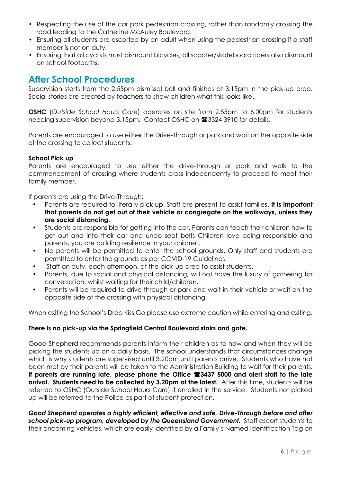- Respecting the use of the car park pedestrian crossing, rather than randomly crossing the road leading to the Catherine McAuley Boulevard.
- Ensuring all students are escorted by an adult when using the pedestrian crossing if a staff member is not on duty.
- Ensuring that all cyclists must dismount bicycles, all scooter/skateboard riders also dismount on school footpaths.

### <span id="page-6-0"></span>**After School Procedures**

Supervision starts from the 2.55pm dismissal bell and finishes at 3.15pm in the pick-up area. Social stories are created by teachers to show children what this looks like.

**OSHC** (*Outside School Hours Care*) operates on site from 2.55pm to 6.00pm for students needing supervision beyond 3.15pm. Contact OSHC on 23324 3910 for details.

Parents are encouraged to use either the Drive-Through or park and wait on the opposite side of the crossing to collect students:

### **School Pick up**

Parents are encouraged to use either the drive-through or park and walk to the commencement of crossing where students cross independently to proceed to meet their family member.

If parents are using the Drive-Through:

- Parents are required to literally pick up. Staff are present to assist families**. It is important that parents do not get out of their vehicle or congregate on the walkways, unless they are social distancing.**
- Students are responsible for getting into the car. Parents can teach their children how to get out and into their car and undo seat belts Children love being responsible and parents, you are building resilience in your children.
- No parents will be permitted to enter the school grounds. Only staff and students are permitted to enter the grounds as per COVID-19 Guidelines.
- Staff on duty, each afternoon, at the pick-up area to assist students.
- Parents, due to social and physical distancing, will not have the luxury of gathering for conversation, whilst waiting for their child/children.
- Parents will be required to drive through or park and wait in their vehicle or wait on the opposite side of the crossing with physical distancing.

When exiting the School's Drop Kiss Go please use extreme caution while entering and exiting.

### **There is no pick-up via the Springfield Central Boulevard stairs and gate.**

Good Shepherd recommends parents inform their children as to how and when they will be picking the students up on a daily basis. The school understands that circumstances change which is why students are supervised until 3.20pm until parents arrive. Students who have not been met by their parents will be taken to the Administration Building to wait for their parents. **If parents are running late, please phone the Office 3437 5000 and alert staff to the late arrival. Students need to be collected by 3.20pm at the latest.** After this time, students will be referred to OSHC (Outside School Hours Care) if enrolled in the service. Students not picked up will be referred to the Police as part of student protection.

*Good Shepherd operates a highly efficient, effective and safe, Drive-Through before and after school pick-up program, developed by the Queensland Government.* Staff escort students to their oncoming vehicles, which are easily identified by a Family's Named Identification Tag on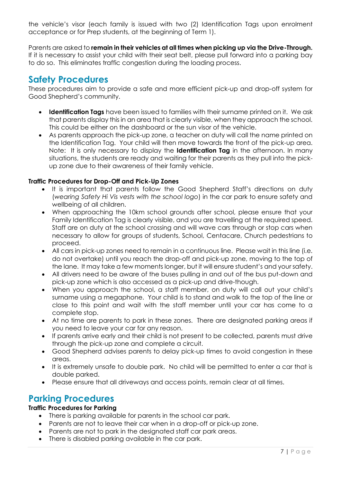the vehicle's visor (each family is issued with two (2) Identification Tags upon enrolment acceptance or for Prep students, at the beginning of Term 1).

Parents are asked to **remain in their vehicles at all times when picking up via the Drive-Through.** If it is necessary to assist your child with their seat belt, please pull forward into a parking bay to do so. This eliminates traffic congestion during the loading process.

### <span id="page-7-0"></span>**Safety Procedures**

These procedures aim to provide a safe and more efficient pick-up and drop-off system for Good Shepherd's community.

- **Identification Tags** have been issued to families with their surname printed on it. We ask that parents display this in an area that is clearly visible, when they approach the school. This could be either on the dashboard or the sun visor of the vehicle.
- As parents approach the pick-up zone, a teacher on duty will call the name printed on the Identification Tag. Your child will then move towards the front of the pick-up area. Note: It is only necessary to display the **Identification Tag** in the afternoon. In many situations, the students are ready and waiting for their parents as they pull into the pickup zone due to their awareness of their family vehicle.

### **Traffic Procedures for Drop-Off and Pick-Up Zones**

- It is important that parents follow the Good Shepherd Staff's directions on duty (*wearing Safety Hi Vis vests with the school logo*) in the car park to ensure safety and wellbeing of all children.
- When approaching the 10km school grounds after school, please ensure that your Family Identification Tag is clearly visible, and you are travelling at the required speed. Staff are on duty at the school crossing and will wave cars through or stop cars when necessary to allow for groups of students, School, Centacare, Church pedestrians to proceed.
- All cars in pick-up zones need to remain in a continuous line. Please wait in this line (i.e. do not overtake) until you reach the drop-off and pick-up zone, moving to the top of the lane. It may take a few moments longer, but it will ensure student's and your safety.
- All drivers need to be aware of the buses pulling in and out of the bus put-down and pick-up zone which is also accessed as a pick-up and drive-though.
- When you approach the school, a staff member, on duty will call out your child's surname using a megaphone. Your child is to stand and walk to the top of the line or close to this point and wait with the staff member until your car has come to a complete stop.
- At no time are parents to park in these zones. There are designated parking areas if you need to leave your car for any reason.
- If parents arrive early and their child is not present to be collected, parents must drive through the pick-up zone and complete a circuit.
- Good Shepherd advises parents to delay pick-up times to avoid congestion in these areas.
- It is extremely unsafe to double park. No child will be permitted to enter a car that is double parked.
- Please ensure that all driveways and access points, remain clear at all times.

### <span id="page-7-1"></span>**Parking Procedures**

### **Traffic Procedures for Parking**

- There is parking available for parents in the school car park.
- Parents are not to leave their car when in a drop-off or pick-up zone.
- Parents are not to park in the designated staff car park areas.
- There is disabled parking available in the car park.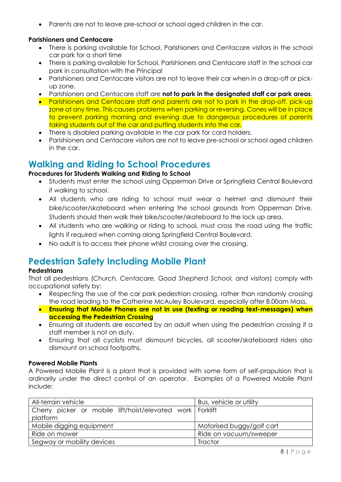• Parents are not to leave pre-school or school aged children in the car.

### **Parishioners and Centacare**

- There is parking available for School, Parishioners and Centacare visitors in the school car park for a short time
- There is parking available for School, Parishioners and Centacare staff in the school car park in consultation with the Principal
- Parishioners and Centacare visitors are not to leave their car when in a drop-off or pickup zone.
- Parishioners and Centacare staff are **not to park in the designated staff car park areas**.
- Parishioners and Centacare staff and parents are not to park in the drop-off, pick-up zone at any time. This causes problems when parking or reversing. Cones will be in place to prevent parking morning and evening due to dangerous procedures of parents taking students out of the car and putting students into the car.
- There is disabled parking available in the car park for card holders.
- Parishioners and Centacare visitors are not to leave pre-school or school aged children in the car.

### <span id="page-8-0"></span>**Walking and Riding to School Procedures**

### **Procedures for Students Walking and Riding to School**

- Students must enter the school using Opperman Drive or Springfield Central Boulevard if walking to school.
- All students who are riding to school must wear a helmet and dismount their bike/scooter/skateboard when entering the school grounds from Opperman Drive. Students should then walk their bike/scooter/skateboard to the lock up area.
- All students who are walking or riding to school, must cross the road using the traffic lights if required when coming along Springfield Central Boulevard.
- No adult is to access their phone whilst crossing over the crossing.

### <span id="page-8-1"></span>**Pedestrian Safety Including Mobile Plant**

#### **Pedestrians**

That all pedestrians (*Church, Centacare, Good Shepherd School, and visitors*) comply with occupational safety by:

- Respecting the use of the car park pedestrian crossing, rather than randomly crossing the road leading to the Catherine McAuley Boulevard, especially after 8.00am Mass.
- **Ensuring that Mobile Phones are not in use (texting or reading text-messages) when accessing the Pedestrian Crossing**
- Ensuring all students are escorted by an adult when using the pedestrian crossing if a staff member is not on duty.
- Ensuring that all cyclists must dismount bicycles, all scooter/skateboard riders also dismount on school footpaths.

#### **Powered Mobile Plants**

A Powered Mobile Plant is a plant that is provided with some form of self-propulsion that is ordinarily under the direct control of an operator. Examples of a Powered Mobile Plant include:

| All-terrain vehicle                                         | Bus, vehicle or utility   |  |
|-------------------------------------------------------------|---------------------------|--|
| Cherry picker or mobile lift/hoist/elevated work   Forklift |                           |  |
| platform                                                    |                           |  |
| Mobile digging equipment                                    | Motorised buggy/golf cart |  |
| Ride on mower                                               | Ride on vacuum/sweeper    |  |
| Segway or mobility devices                                  | Tractor                   |  |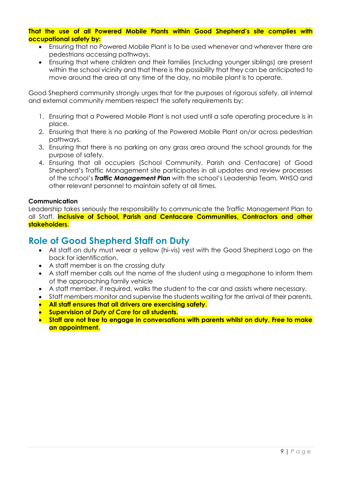**That the use of all Powered Mobile Plants within Good Shepherd's site complies with occupational safety by:**

- Ensuring that no Powered Mobile Plant is to be used whenever and wherever there are pedestrians accessing pathways.
- Ensuring that where children and their families (including younger siblings) are present within the school vicinity and that there is the possibility that they can be anticipated to move around the area at any time of the day, no mobile plant is to operate.

Good Shepherd community strongly urges that for the purposes of rigorous safety, all internal and external community members respect the safety requirements by:

- 1. Ensuring that a Powered Mobile Plant is not used until a safe operating procedure is in place.
- 2. Ensuring that there is no parking of the Powered Mobile Plant on/or across pedestrian pathways.
- 3. Ensuring that there is no parking on any grass area around the school grounds for the purpose of safety.
- 4. Ensuring that all occupiers (School Community, Parish and Centacare) of Good Shepherd's Traffic Management site participates in all updates and review processes of the school's *Traffic Management Plan* with the school's Leadership Team, WHSO and other relevant personnel to maintain safety at all times.

#### **Communication**

Leadership takes seriously the responsibility to communicate the Traffic Management Plan to all Staff, **inclusive of School, Parish and Centacare Communities, Contractors and other stakeholders**.

### <span id="page-9-0"></span>**Role of Good Shepherd Staff on Duty**

- All staff on duty must wear a yellow (hi-vis) vest with the Good Shepherd Logo on the back for identification.
- A staff member is on the crossing duty
- A staff member calls out the name of the student using a megaphone to inform them of the approaching family vehicle
- A staff member, if required, walks the student to the car and assists where necessary.
- Staff members monitor and supervise the students waiting for the arrival of their parents.
- **All staff ensures that all drivers are exercising safety**.
- **Supervision of** *Duty of Care* **for all students.**
- **Staff are not free to engage in conversations with parents whilst on duty. Free to make an appointment.**